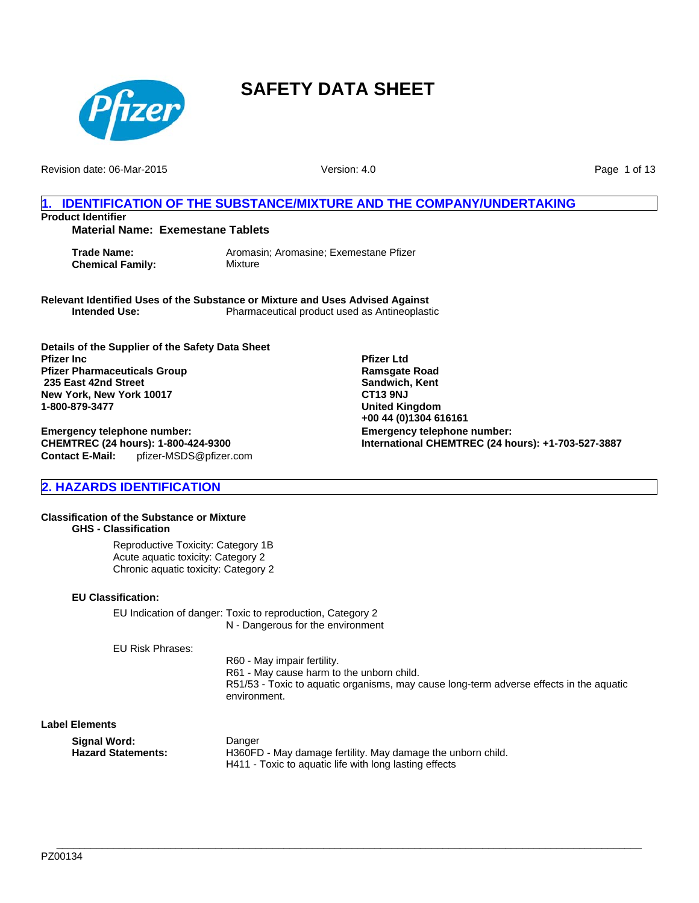

Revision date: 06-Mar-2015

Version: 4.0

Page 1 of 13

## **1. IDENTIFICATION OF THE SUBSTANCE/MIXTURE AND THE COMPANY/UNDERTAKING Product Identifier**

## **Material Name: Exemestane Tablets**

**Chemical Family:** Mixture

**Trade Name:** Aromasin; Aromasine; Exemestane Pfizer

**Relevant Identified Uses of the Substance or Mixture and Uses Advised Against Intended Use:** Pharmaceutical product used as Antineoplastic

**Details of the Supplier of the Safety Data Sheet Pfizer Inc Pfizer Pharmaceuticals Group 235 East 42nd Street New York, New York 10017 1-800-879-3477**

**Contact E-Mail:** pfizer-MSDS@pfizer.com **Emergency telephone number: CHEMTREC (24 hours): 1-800-424-9300**

**Emergency telephone number: International CHEMTREC (24 hours): +1-703-527-3887 Pfizer Ltd Ramsgate Road Sandwich, Kent CT13 9NJ United Kingdom +00 44 (0)1304 616161**

## **2. HAZARDS IDENTIFICATION**

#### **Classification of the Substance or Mixture GHS - Classification**

Reproductive Toxicity: Category 1B Acute aquatic toxicity: Category 2 Chronic aquatic toxicity: Category 2

## **EU Classification:**

EU Indication of danger: Toxic to reproduction, Category 2 N - Dangerous for the environment

EU Risk Phrases:

R60 - May impair fertility. R61 - May cause harm to the unborn child. R51/53 - Toxic to aquatic organisms, may cause long-term adverse effects in the aquatic environment.

### **Label Elements**

| Siqnal Word:       | Danger                                                      |
|--------------------|-------------------------------------------------------------|
| Hazard Statements: | H360FD - May damage fertility. May damage the unborn child. |
|                    | H411 - Toxic to aquatic life with long lasting effects      |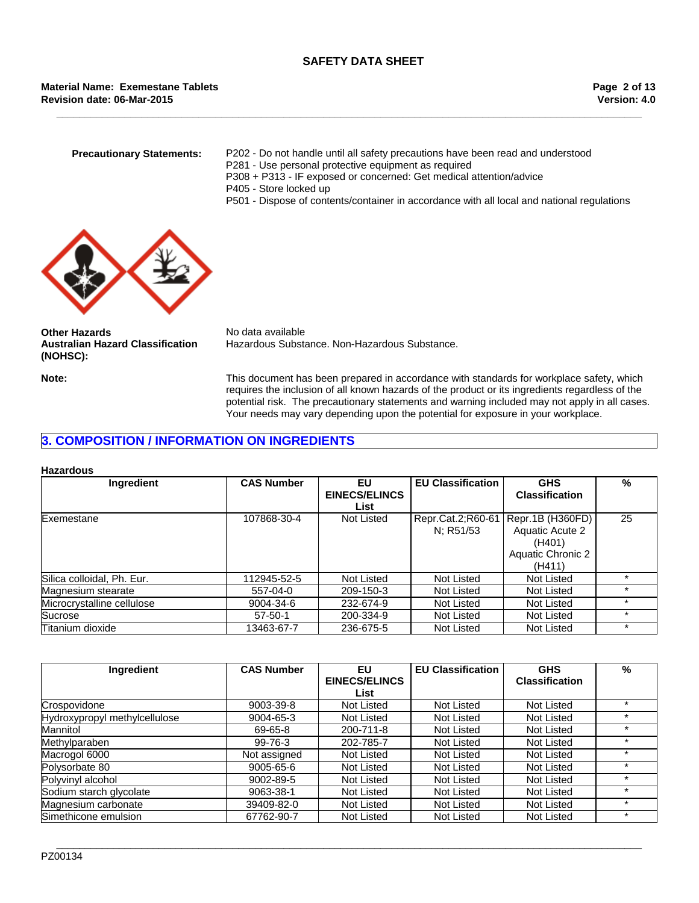**\_\_\_\_\_\_\_\_\_\_\_\_\_\_\_\_\_\_\_\_\_\_\_\_\_\_\_\_\_\_\_\_\_\_\_\_\_\_\_\_\_\_\_\_\_\_\_\_\_\_\_\_\_\_\_\_\_\_\_\_\_\_\_\_\_\_\_\_\_\_\_\_\_\_\_\_\_\_\_\_\_\_\_\_\_\_\_\_\_\_\_\_\_\_\_\_\_\_\_\_\_\_\_**

**Revision date: 06-Mar-2015 Material Name: Exemestane Tablets**

- **Precautionary Statements:** P202 Do not handle until all safety precautions have been read and understood
	- P281 Use personal protective equipment as required
	- P308 + P313 IF exposed or concerned: Get medical attention/advice
	- P405 Store locked up
	- P501 Dispose of contents/container in accordance with all local and national regulations



**Other Hazards** No data available **Australian Hazard Classification (NOHSC):**

Hazardous Substance. Non-Hazardous Substance.

**Note:** This document has been prepared in accordance with standards for workplace safety, which requires the inclusion of all known hazards of the product or its ingredients regardless of the potential risk. The precautionary statements and warning included may not apply in all cases. Your needs may vary depending upon the potential for exposure in your workplace.

## **3. COMPOSITION / INFORMATION ON INGREDIENTS**

#### **Hazardous**

| Ingredient                 | <b>CAS Number</b> | EU<br><b>EINECS/ELINCS</b><br>List | <b>EU Classification</b>       | <b>GHS</b><br><b>Classification</b>                                          | %  |
|----------------------------|-------------------|------------------------------------|--------------------------------|------------------------------------------------------------------------------|----|
| Exemestane                 | 107868-30-4       | Not Listed                         | Repr.Cat.2;R60-61<br>N: R51/53 | Repr.1B (H360FD)<br>Aquatic Acute 2<br>(H401)<br>Aquatic Chronic 2<br>(H411) | 25 |
| Silica colloidal, Ph. Eur. | 112945-52-5       | Not Listed                         | Not Listed                     | Not Listed                                                                   |    |
| Magnesium stearate         | 557-04-0          | 209-150-3                          | Not Listed                     | Not Listed                                                                   |    |
| Microcrystalline cellulose | 9004-34-6         | 232-674-9                          | Not Listed                     | Not Listed                                                                   |    |
| Sucrose                    | $57 - 50 - 1$     | 200-334-9                          | Not Listed                     | Not Listed                                                                   |    |
| Titanium dioxide           | 13463-67-7        | 236-675-5                          | Not Listed                     | Not Listed                                                                   |    |

| Ingredient                    | <b>CAS Number</b> | EU                   | <b>EU Classification</b> | <b>GHS</b>            | %       |
|-------------------------------|-------------------|----------------------|--------------------------|-----------------------|---------|
|                               |                   | <b>EINECS/ELINCS</b> |                          | <b>Classification</b> |         |
|                               |                   | List                 |                          |                       |         |
| Crospovidone                  | 9003-39-8         | Not Listed           | Not Listed               | Not Listed            | $\star$ |
| Hydroxypropyl methylcellulose | 9004-65-3         | Not Listed           | Not Listed               | Not Listed            | $\star$ |
| Mannitol                      | 69-65-8           | 200-711-8            | Not Listed               | Not Listed            | $\ast$  |
| Methylparaben                 | 99-76-3           | 202-785-7            | Not Listed               | Not Listed            | $\ast$  |
| Macrogol 6000                 | Not assigned      | Not Listed           | Not Listed               | Not Listed            | $\ast$  |
| Polysorbate 80                | 9005-65-6         | Not Listed           | Not Listed               | Not Listed            | $\star$ |
| Polyvinyl alcohol             | 9002-89-5         | Not Listed           | Not Listed               | Not Listed            | $\ast$  |
| Sodium starch glycolate       | 9063-38-1         | Not Listed           | Not Listed               | Not Listed            | $\star$ |
| Magnesium carbonate           | 39409-82-0        | Not Listed           | Not Listed               | Not Listed            | $\star$ |
| Simethicone emulsion          | 67762-90-7        | Not Listed           | Not Listed               | Not Listed            | $\star$ |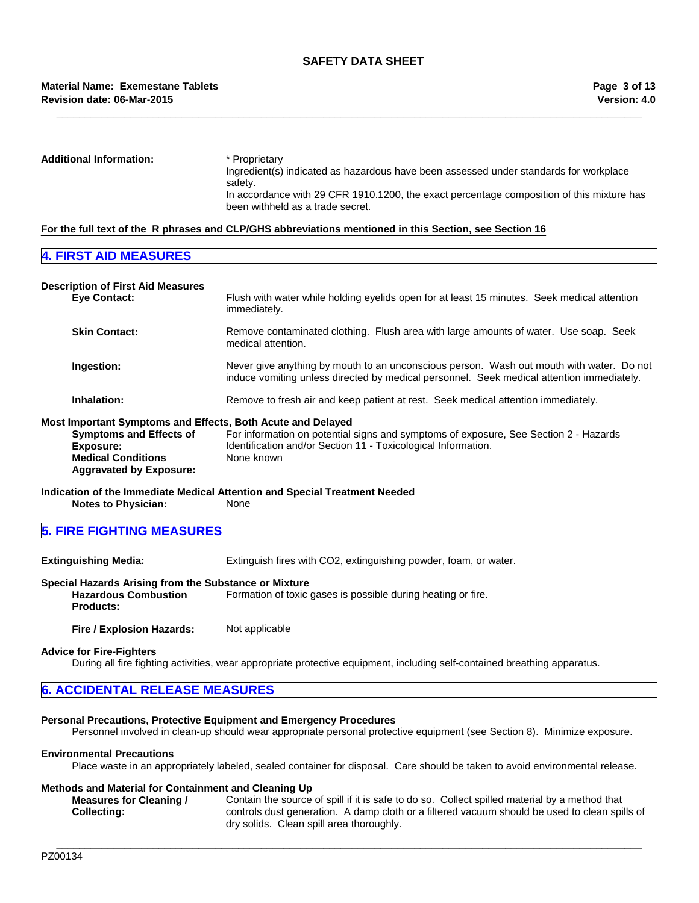## **Revision date: 06-Mar-2015 Material Name: Exemestane Tablets**

**Additional Information:** \* Proprietary Ingredient(s) indicated as hazardous have been assessed under standards for workplace safety. In accordance with 29 CFR 1910.1200, the exact percentage composition of this mixture has been withheld as a trade secret.

**\_\_\_\_\_\_\_\_\_\_\_\_\_\_\_\_\_\_\_\_\_\_\_\_\_\_\_\_\_\_\_\_\_\_\_\_\_\_\_\_\_\_\_\_\_\_\_\_\_\_\_\_\_\_\_\_\_\_\_\_\_\_\_\_\_\_\_\_\_\_\_\_\_\_\_\_\_\_\_\_\_\_\_\_\_\_\_\_\_\_\_\_\_\_\_\_\_\_\_\_\_\_\_**

## **For the full text of the R phrases and CLP/GHS abbreviations mentioned in this Section, see Section 16**

## **4. FIRST AID MEASURES**

| <b>Description of First Aid Measures</b>                    |                                                                                                                                                                                       |
|-------------------------------------------------------------|---------------------------------------------------------------------------------------------------------------------------------------------------------------------------------------|
| <b>Eve Contact:</b>                                         | Flush with water while holding eyelids open for at least 15 minutes. Seek medical attention<br>immediately.                                                                           |
| <b>Skin Contact:</b>                                        | Remove contaminated clothing. Flush area with large amounts of water. Use soap. Seek<br>medical attention.                                                                            |
| Ingestion:                                                  | Never give anything by mouth to an unconscious person. Wash out mouth with water. Do not<br>induce vomiting unless directed by medical personnel. Seek medical attention immediately. |
| Inhalation:                                                 | Remove to fresh air and keep patient at rest. Seek medical attention immediately.                                                                                                     |
| Most Important Symptoms and Effects, Both Acute and Delayed |                                                                                                                                                                                       |
| <b>Symptoms and Effects of</b>                              | For information on potential signs and symptoms of exposure, See Section 2 - Hazards                                                                                                  |
| Exposure:<br><b>Medical Conditions</b>                      | Identification and/or Section 11 - Toxicological Information.<br>None known                                                                                                           |
|                                                             |                                                                                                                                                                                       |
| <b>Aggravated by Exposure:</b>                              |                                                                                                                                                                                       |

**Indication of the Immediate Medical Attention and Special Treatment Needed Notes to Physician:** 

| <b>5. FIRE FIGHTING MEASURES</b> |
|----------------------------------|
|----------------------------------|

**Extinguishing Media:** Extinguish fires with CO2, extinguishing powder, foam, or water.

## **Special Hazards Arising from the Substance or Mixture**

**Hazardous Combustion Products:** Formation of toxic gases is possible during heating or fire.

**Fire / Explosion Hazards:** Not applicable

#### **Advice for Fire-Fighters**

During all fire fighting activities, wear appropriate protective equipment, including self-contained breathing apparatus.

## **6. ACCIDENTAL RELEASE MEASURES**

## **Personal Precautions, Protective Equipment and Emergency Procedures**

Personnel involved in clean-up should wear appropriate personal protective equipment (see Section 8). Minimize exposure.

## **Environmental Precautions**

Place waste in an appropriately labeled, sealed container for disposal. Care should be taken to avoid environmental release.

#### **Methods and Material for Containment and Cleaning Up**

**Measures for Cleaning / Collecting:** Contain the source of spill if it is safe to do so. Collect spilled material by a method that controls dust generation. A damp cloth or a filtered vacuum should be used to clean spills of dry solids. Clean spill area thoroughly.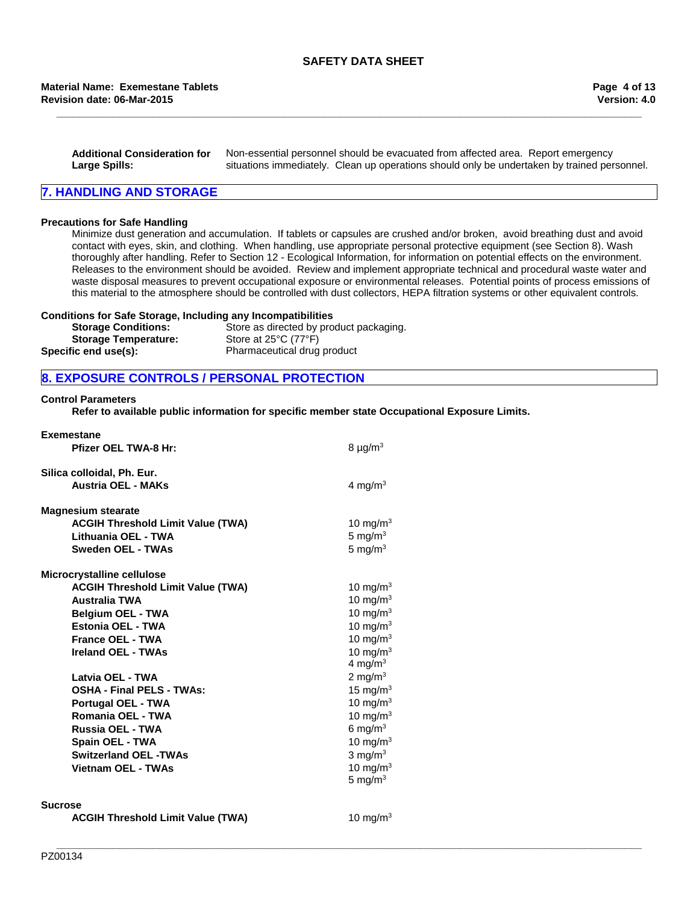#### **Revision date: 06-Mar-2015 Material Name: Exemestane Tablets**

**Additional Consideration for Large Spills:** Non-essential personnel should be evacuated from affected area. Report emergency situations immediately. Clean up operations should only be undertaken by trained personnel.

**\_\_\_\_\_\_\_\_\_\_\_\_\_\_\_\_\_\_\_\_\_\_\_\_\_\_\_\_\_\_\_\_\_\_\_\_\_\_\_\_\_\_\_\_\_\_\_\_\_\_\_\_\_\_\_\_\_\_\_\_\_\_\_\_\_\_\_\_\_\_\_\_\_\_\_\_\_\_\_\_\_\_\_\_\_\_\_\_\_\_\_\_\_\_\_\_\_\_\_\_\_\_\_**

## **7. HANDLING AND STORAGE**

#### **Precautions for Safe Handling**

Minimize dust generation and accumulation. If tablets or capsules are crushed and/or broken, avoid breathing dust and avoid contact with eyes, skin, and clothing. When handling, use appropriate personal protective equipment (see Section 8). Wash thoroughly after handling. Refer to Section 12 - Ecological Information, for information on potential effects on the environment. Releases to the environment should be avoided. Review and implement appropriate technical and procedural waste water and waste disposal measures to prevent occupational exposure or environmental releases. Potential points of process emissions of this material to the atmosphere should be controlled with dust collectors, HEPA filtration systems or other equivalent controls.

#### **Conditions for Safe Storage, Including any Incompatibilities**

| <b>Storage Conditions:</b>  | Store as directed by product packaging.   |
|-----------------------------|-------------------------------------------|
| <b>Storage Temperature:</b> | Store at $25^{\circ}$ C (77 $^{\circ}$ F) |
| Specific end use(s):        | Pharmaceutical drug product               |

## **8. EXPOSURE CONTROLS / PERSONAL PROTECTION**

#### **Control Parameters**

**Refer to available public information for specific member state Occupational Exposure Limits.**

| $8 \mu g/m3$                                                                                                                                                                                                                            |
|-----------------------------------------------------------------------------------------------------------------------------------------------------------------------------------------------------------------------------------------|
| 4 mg/m $3$                                                                                                                                                                                                                              |
| 10 mg/m $3$<br>5 mg/ $m3$<br>5 mg/ $m3$                                                                                                                                                                                                 |
| 10 mg/m $3$<br>10 mg/m $3$<br>10 mg/m $3$<br>10 mg/m $3$<br>10 mg/ $m3$<br>10 mg/m $3$<br>4 mg/m $3$<br>2 mg/m $3$<br>15 mg/m $3$<br>10 mg/m $3$<br>10 mg/m $3$<br>6 mg/m $3$<br>10 mg/m $3$<br>3 mg/ $m3$<br>10 mg/m $3$<br>5 mg/m $3$ |
|                                                                                                                                                                                                                                         |

#### **Sucrose**

**ACGIH Threshold Limit Value (TWA)** 10 mg/m<sup>3</sup>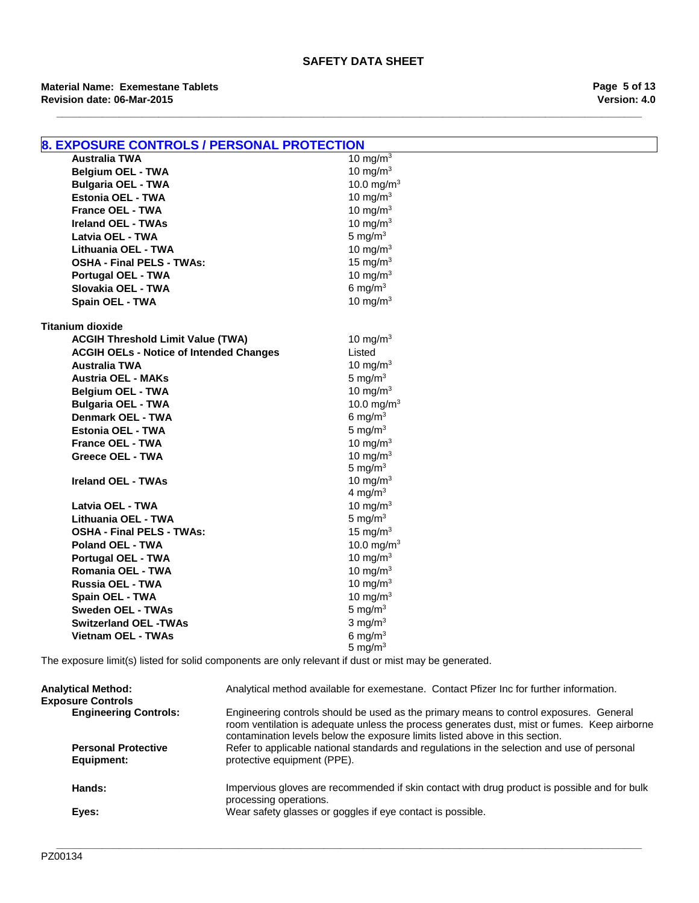| 8. EXPOSURE CONTROLS / PERSONAL PROTECTION     |                           |  |
|------------------------------------------------|---------------------------|--|
| <b>Australia TWA</b>                           | 10 mg/m $3$               |  |
| <b>Belgium OEL - TWA</b>                       | 10 mg/m $3$               |  |
| <b>Bulgaria OEL - TWA</b>                      | 10.0 mg/m <sup>3</sup>    |  |
| <b>Estonia OEL - TWA</b>                       | 10 mg/m $3$               |  |
| <b>France OEL - TWA</b>                        | 10 mg/m $3$               |  |
| <b>Ireland OEL - TWAs</b>                      | 10 mg/m $3$               |  |
| Latvia OEL - TWA                               | 5 mg/ $m3$                |  |
| Lithuania OEL - TWA                            | 10 mg/m $3$               |  |
| <b>OSHA - Final PELS - TWAs:</b>               | 15 mg/m $3$               |  |
| Portugal OEL - TWA                             | 10 mg/m $3$               |  |
| Slovakia OEL - TWA                             | 6 mg/m $3$                |  |
| Spain OEL - TWA                                | 10 mg/m $3$               |  |
|                                                |                           |  |
| <b>Titanium dioxide</b>                        |                           |  |
| <b>ACGIH Threshold Limit Value (TWA)</b>       | 10 mg/m $3$               |  |
| <b>ACGIH OELs - Notice of Intended Changes</b> | Listed                    |  |
| <b>Australia TWA</b>                           | 10 mg/m $3$               |  |
| <b>Austria OEL - MAKs</b>                      | 5 mg/ $m3$                |  |
| <b>Belgium OEL - TWA</b>                       | 10 mg/m $3$               |  |
| <b>Bulgaria OEL - TWA</b>                      | 10.0 mg/m <sup>3</sup>    |  |
| <b>Denmark OEL - TWA</b>                       | 6 mg/m $3$                |  |
| <b>Estonia OEL - TWA</b>                       | 5 mg/ $m3$                |  |
| <b>France OEL - TWA</b>                        | 10 mg/m $3$               |  |
| <b>Greece OEL - TWA</b>                        | 10 mg/m $3$               |  |
| <b>Ireland OEL - TWAs</b>                      | 5 mg/ $m3$<br>10 mg/m $3$ |  |
|                                                | 4 mg/m $3$                |  |
| Latvia OEL - TWA                               | 10 mg/m $3$               |  |
| Lithuania OEL - TWA                            | 5 mg/ $m3$                |  |
| <b>OSHA - Final PELS - TWAs:</b>               | 15 mg/m $3$               |  |
| <b>Poland OEL - TWA</b>                        | 10.0 mg/m <sup>3</sup>    |  |
| Portugal OEL - TWA                             | 10 mg/m $3$               |  |
| <b>Romania OEL - TWA</b>                       | 10 mg/m $3$               |  |
| Russia OEL - TWA                               | 10 mg/m $3$               |  |
| Spain OEL - TWA                                | 10 mg/m $3$               |  |
| <b>Sweden OEL - TWAs</b>                       | 5 mg/ $m3$                |  |
| <b>Switzerland OEL -TWAs</b>                   | 3 mg/ $m3$                |  |
| <b>Vietnam OEL - TWAs</b>                      | 6 mg/ $m3$                |  |
|                                                | 5 mg/ $m3$                |  |
|                                                |                           |  |

The exposure limit(s) listed for solid components are only relevant if dust or mist may be generated.

| <b>Analytical Method:</b><br><b>Exposure Controls</b> | Analytical method available for exemestane. Contact Pfizer Inc for further information.                                                                                                                                                                                |
|-------------------------------------------------------|------------------------------------------------------------------------------------------------------------------------------------------------------------------------------------------------------------------------------------------------------------------------|
| <b>Engineering Controls:</b>                          | Engineering controls should be used as the primary means to control exposures. General<br>room ventilation is adequate unless the process generates dust, mist or fumes. Keep airborne<br>contamination levels below the exposure limits listed above in this section. |
| <b>Personal Protective</b><br>Equipment:              | Refer to applicable national standards and regulations in the selection and use of personal<br>protective equipment (PPE).                                                                                                                                             |
| Hands:                                                | Impervious gloves are recommended if skin contact with drug product is possible and for bulk<br>processing operations.                                                                                                                                                 |
| Eyes:                                                 | Wear safety glasses or goggles if eye contact is possible.                                                                                                                                                                                                             |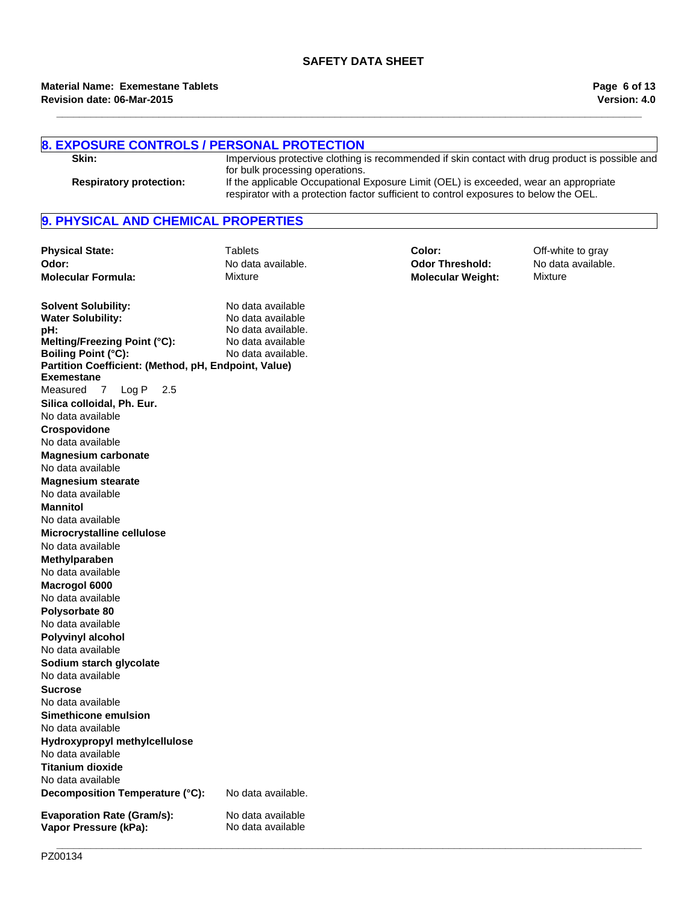**\_\_\_\_\_\_\_\_\_\_\_\_\_\_\_\_\_\_\_\_\_\_\_\_\_\_\_\_\_\_\_\_\_\_\_\_\_\_\_\_\_\_\_\_\_\_\_\_\_\_\_\_\_\_\_\_\_\_\_\_\_\_\_\_\_\_\_\_\_\_\_\_\_\_\_\_\_\_\_\_\_\_\_\_\_\_\_\_\_\_\_\_\_\_\_\_\_\_\_\_\_\_\_**

| <b>8. EXPOSURE CONTROLS / PERSONAL PROTECTION</b><br>Skin:                         |                                                                                                                                                                                                                  | Impervious protective clothing is recommended if skin contact with drug product is possible and |                    |
|------------------------------------------------------------------------------------|------------------------------------------------------------------------------------------------------------------------------------------------------------------------------------------------------------------|-------------------------------------------------------------------------------------------------|--------------------|
| <b>Respiratory protection:</b>                                                     | for bulk processing operations.<br>If the applicable Occupational Exposure Limit (OEL) is exceeded, wear an appropriate<br>respirator with a protection factor sufficient to control exposures to below the OEL. |                                                                                                 |                    |
| 9. PHYSICAL AND CHEMICAL PROPERTIES                                                |                                                                                                                                                                                                                  |                                                                                                 |                    |
| <b>Physical State:</b>                                                             | <b>Tablets</b>                                                                                                                                                                                                   | Color:                                                                                          | Off-white to gray  |
| Odor:                                                                              | No data available.                                                                                                                                                                                               | <b>Odor Threshold:</b>                                                                          | No data available. |
| <b>Molecular Formula:</b>                                                          | Mixture                                                                                                                                                                                                          | <b>Molecular Weight:</b>                                                                        | Mixture            |
| <b>Solvent Solubility:</b>                                                         | No data available                                                                                                                                                                                                |                                                                                                 |                    |
| <b>Water Solubility:</b>                                                           | No data available                                                                                                                                                                                                |                                                                                                 |                    |
| pH:                                                                                | No data available.                                                                                                                                                                                               |                                                                                                 |                    |
| Melting/Freezing Point (°C):                                                       | No data available                                                                                                                                                                                                |                                                                                                 |                    |
| <b>Boiling Point (°C):</b><br>Partition Coefficient: (Method, pH, Endpoint, Value) | No data available.                                                                                                                                                                                               |                                                                                                 |                    |
| <b>Exemestane</b>                                                                  |                                                                                                                                                                                                                  |                                                                                                 |                    |
| Measured<br>Log P<br>$\overline{7}$<br>2.5                                         |                                                                                                                                                                                                                  |                                                                                                 |                    |
| Silica colloidal, Ph. Eur.                                                         |                                                                                                                                                                                                                  |                                                                                                 |                    |
| No data available                                                                  |                                                                                                                                                                                                                  |                                                                                                 |                    |
| Crospovidone                                                                       |                                                                                                                                                                                                                  |                                                                                                 |                    |
| No data available                                                                  |                                                                                                                                                                                                                  |                                                                                                 |                    |
| <b>Magnesium carbonate</b>                                                         |                                                                                                                                                                                                                  |                                                                                                 |                    |
| No data available                                                                  |                                                                                                                                                                                                                  |                                                                                                 |                    |
| <b>Magnesium stearate</b><br>No data available                                     |                                                                                                                                                                                                                  |                                                                                                 |                    |
|                                                                                    |                                                                                                                                                                                                                  |                                                                                                 |                    |
| <b>Mannitol</b>                                                                    |                                                                                                                                                                                                                  |                                                                                                 |                    |
| No data available                                                                  |                                                                                                                                                                                                                  |                                                                                                 |                    |
| Microcrystalline cellulose<br>No data available                                    |                                                                                                                                                                                                                  |                                                                                                 |                    |
|                                                                                    |                                                                                                                                                                                                                  |                                                                                                 |                    |
| Methylparaben<br>No data available                                                 |                                                                                                                                                                                                                  |                                                                                                 |                    |
| Macrogol 6000                                                                      |                                                                                                                                                                                                                  |                                                                                                 |                    |
| No data available                                                                  |                                                                                                                                                                                                                  |                                                                                                 |                    |
| Polysorbate 80                                                                     |                                                                                                                                                                                                                  |                                                                                                 |                    |
| No data available                                                                  |                                                                                                                                                                                                                  |                                                                                                 |                    |
| <b>Polyvinyl alcohol</b>                                                           |                                                                                                                                                                                                                  |                                                                                                 |                    |
| No data available                                                                  |                                                                                                                                                                                                                  |                                                                                                 |                    |
| Sodium starch glycolate                                                            |                                                                                                                                                                                                                  |                                                                                                 |                    |
| No data available                                                                  |                                                                                                                                                                                                                  |                                                                                                 |                    |
| <b>Sucrose</b>                                                                     |                                                                                                                                                                                                                  |                                                                                                 |                    |
| No data available                                                                  |                                                                                                                                                                                                                  |                                                                                                 |                    |
| Simethicone emulsion                                                               |                                                                                                                                                                                                                  |                                                                                                 |                    |
| No data available                                                                  |                                                                                                                                                                                                                  |                                                                                                 |                    |
| Hydroxypropyl methylcellulose                                                      |                                                                                                                                                                                                                  |                                                                                                 |                    |
| No data available                                                                  |                                                                                                                                                                                                                  |                                                                                                 |                    |
| <b>Titanium dioxide</b>                                                            |                                                                                                                                                                                                                  |                                                                                                 |                    |
| No data available                                                                  |                                                                                                                                                                                                                  |                                                                                                 |                    |
| Decomposition Temperature (°C):                                                    | No data available.                                                                                                                                                                                               |                                                                                                 |                    |
| <b>Evaporation Rate (Gram/s):</b><br>Vapor Pressure (kPa):                         | No data available<br>No data available                                                                                                                                                                           |                                                                                                 |                    |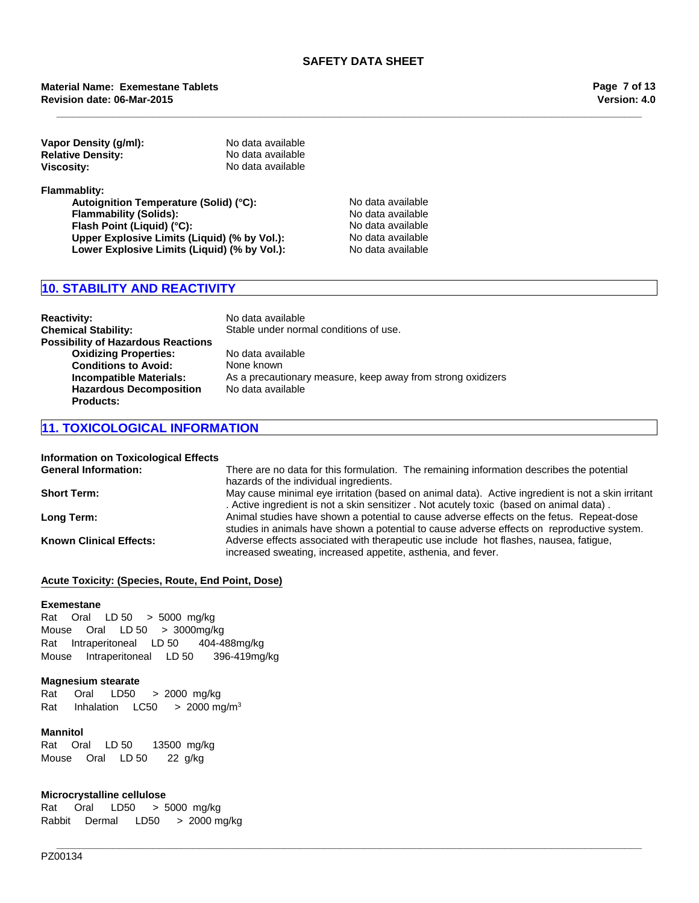#### **Revision date: 06-Mar-2015 Material Name: Exemestane Tablets**

| Vapor Density (g/ml):    | No data available |
|--------------------------|-------------------|
| <b>Relative Density:</b> | No data available |
| Viscosity:               | No data available |

**Flammablity:**

Autoignition Temperature (Solid) (°C):<br>
Flammability (Solids): No data available **Flammability (Solids): Flash Point (Liquid) (°C):** No data available **Upper Explosive Limits (Liquid) (% by Vol.):** No data available Lower Explosive Limits (Liquid) (% by Vol.): No data available

## **10. STABILITY AND REACTIVITY**

| <b>Reactivity:</b><br><b>Chemical Stability:</b>                                                         | No data available<br>Stable under normal conditions of use.                      |
|----------------------------------------------------------------------------------------------------------|----------------------------------------------------------------------------------|
| <b>Possibility of Hazardous Reactions</b><br><b>Oxidizing Properties:</b><br><b>Conditions to Avoid:</b> | No data available<br>None known                                                  |
| Incompatible Materials:<br><b>Hazardous Decomposition</b><br><b>Products:</b>                            | As a precautionary measure, keep away from strong oxidizers<br>No data available |

## **11. TOXICOLOGICAL INFORMATION**

## **Information on Toxicological Effects**

| <b>General Information:</b>    | There are no data for this formulation. The remaining information describes the potential<br>hazards of the individual ingredients.                                                          |
|--------------------------------|----------------------------------------------------------------------------------------------------------------------------------------------------------------------------------------------|
| <b>Short Term:</b>             | May cause minimal eye irritation (based on animal data). Active ingredient is not a skin irritant<br>. Active ingredient is not a skin sensitizer. Not acutely toxic (based on animal data). |
| Long Term:                     | Animal studies have shown a potential to cause adverse effects on the fetus. Repeat-dose<br>studies in animals have shown a potential to cause adverse effects on reproductive system.       |
| <b>Known Clinical Effects:</b> | Adverse effects associated with therapeutic use include hot flashes, nausea, fatique,<br>increased sweating, increased appetite, asthenia, and fever.                                        |

**\_\_\_\_\_\_\_\_\_\_\_\_\_\_\_\_\_\_\_\_\_\_\_\_\_\_\_\_\_\_\_\_\_\_\_\_\_\_\_\_\_\_\_\_\_\_\_\_\_\_\_\_\_\_\_\_\_\_\_\_\_\_\_\_\_\_\_\_\_\_\_\_\_\_\_\_\_\_\_\_\_\_\_\_\_\_\_\_\_\_\_\_\_\_\_\_\_\_\_\_\_\_\_**

## **Acute Toxicity: (Species, Route, End Point, Dose)**

#### **Exemestane**

RatOralLD 50>5000mg/kg MouseOralLD 50>3000mg/kg RatIntraperitonealLD 50404-488mg/kg MouseIntraperitonealLD 50396-419mg/kg

### **Magnesium stearate**

Rat InhalationLC50 >2000 mg/m3 Rat Oral LD50 >2000mg/kg

#### **Mannitol**

RatOralLD 5013500mg/kg MouseOralLD 5022 g/kg

### **Microcrystalline cellulose**

Rat Oral LD50 >5000mg/kg RabbitDermal LD50 >2000 mg/kg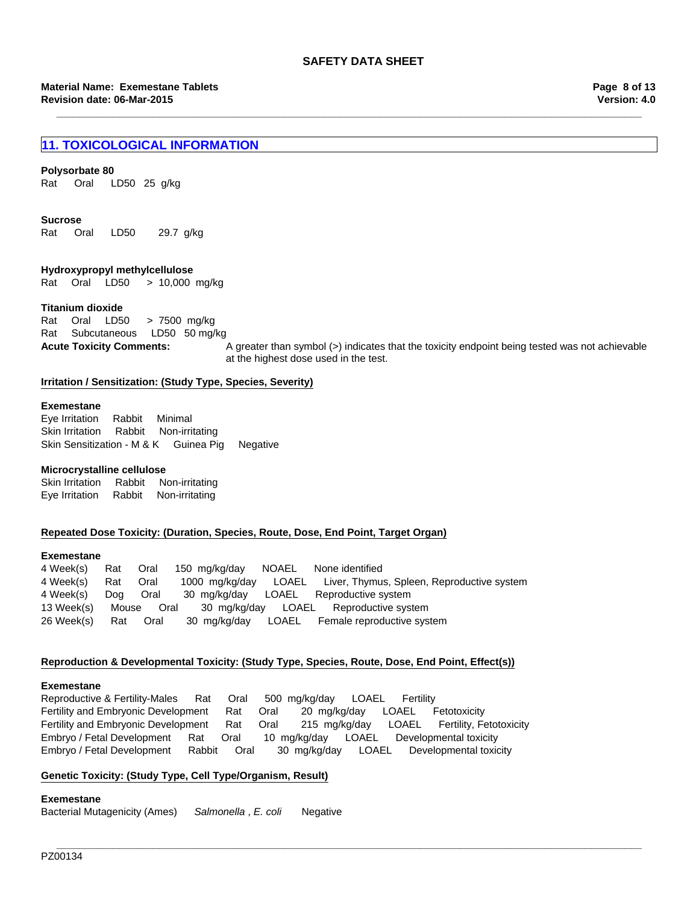**\_\_\_\_\_\_\_\_\_\_\_\_\_\_\_\_\_\_\_\_\_\_\_\_\_\_\_\_\_\_\_\_\_\_\_\_\_\_\_\_\_\_\_\_\_\_\_\_\_\_\_\_\_\_\_\_\_\_\_\_\_\_\_\_\_\_\_\_\_\_\_\_\_\_\_\_\_\_\_\_\_\_\_\_\_\_\_\_\_\_\_\_\_\_\_\_\_\_\_\_\_\_\_**

## **11. TOXICOLOGICAL INFORMATION**

## **Polysorbate 80**

Rat Oral LD50 25g/kg

#### **Sucrose**

Rat Oral LD50 29.7g/kg

### **Hydroxypropyl methylcellulose**

RatOralLD50 >10,000mg/kg

## **Titanium dioxide**

RatSubcutaneousLD50 50 mg/kg RatOralLD50 >7500mg/kg

**Acute Toxicity Comments:** A greater than symbol (>) indicates that the toxicity endpoint being tested was not achievable at the highest dose used in the test.

## **Irritation / Sensitization: (Study Type, Species, Severity)**

#### **Exemestane**

Eye IrritationRabbitMinimal Skin IrritationRabbitNon-irritating Skin Sensitization - M & KGuinea PigNegative

#### **Microcrystalline cellulose**

Skin IrritationRabbitNon-irritating Eye IrritationRabbitNon-irritating

#### **Repeated Dose Toxicity: (Duration, Species, Route, Dose, End Point, Target Organ)**

#### **Exemestane**

4 Week(s)RatOral150mg/kg/dayNOAELNone identified 4 Week(s)RatOral1000mg/kg/dayLOAELLiver, Thymus, Spleen, Reproductive system 4 Week(s)DogOral30mg/kg/dayLOAELReproductive system 13 Week(s)MouseOral30mg/kg/dayLOAELReproductive system 26 Week(s)RatOral30mg/kg/dayLOAELFemale reproductive system

## **Reproduction & Developmental Toxicity: (Study Type, Species, Route, Dose, End Point, Effect(s))**

#### **Exemestane**

Reproductive & Fertility-MalesRatOral500mg/kg/dayLOAELFertility Fertility and Embryonic DevelopmentRatOral20mg/kg/dayLOAELFetotoxicity Fertility and Embryonic DevelopmentRatOral215mg/kg/dayLOAELFertility, Fetotoxicity Embryo / Fetal DevelopmentRatOral10mg/kg/dayLOAELDevelopmental toxicity Embryo / Fetal DevelopmentRabbitOral30mg/kg/dayLOAELDevelopmental toxicity

**\_\_\_\_\_\_\_\_\_\_\_\_\_\_\_\_\_\_\_\_\_\_\_\_\_\_\_\_\_\_\_\_\_\_\_\_\_\_\_\_\_\_\_\_\_\_\_\_\_\_\_\_\_\_\_\_\_\_\_\_\_\_\_\_\_\_\_\_\_\_\_\_\_\_\_\_\_\_\_\_\_\_\_\_\_\_\_\_\_\_\_\_\_\_\_\_\_\_\_\_\_\_\_**

## **Genetic Toxicity: (Study Type, Cell Type/Organism, Result)**

## **Exemestane**

Bacterial Mutagenicity (Ames)*Salmonella* , *E. coli* Negative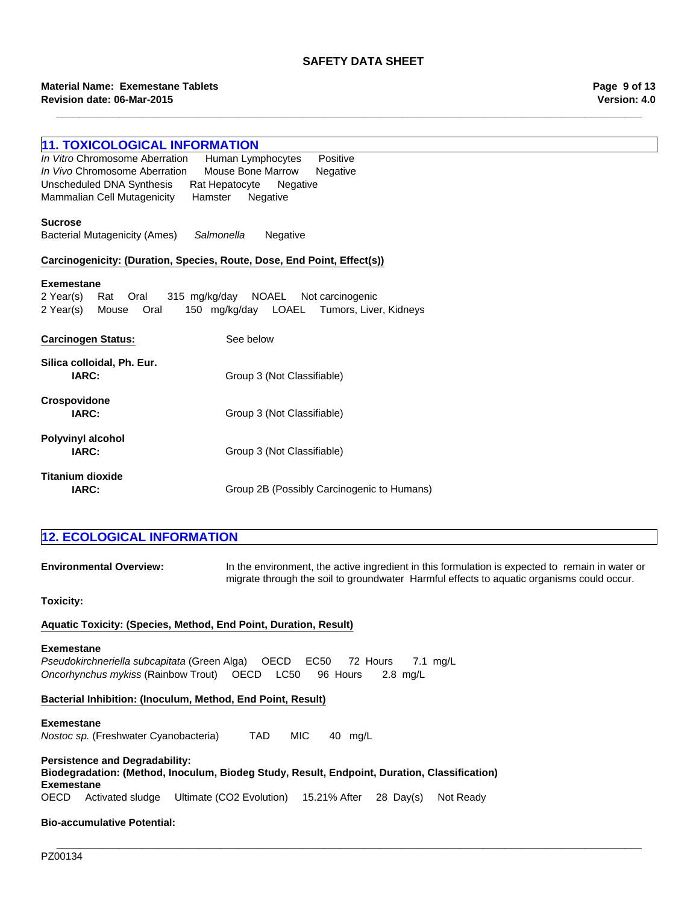**\_\_\_\_\_\_\_\_\_\_\_\_\_\_\_\_\_\_\_\_\_\_\_\_\_\_\_\_\_\_\_\_\_\_\_\_\_\_\_\_\_\_\_\_\_\_\_\_\_\_\_\_\_\_\_\_\_\_\_\_\_\_\_\_\_\_\_\_\_\_\_\_\_\_\_\_\_\_\_\_\_\_\_\_\_\_\_\_\_\_\_\_\_\_\_\_\_\_\_\_\_\_\_**

## **Revision date: 06-Mar-2015 Material Name: Exemestane Tablets**

| <b>11. TOXICOLOGICAL INFORMATION</b>                                                 |                                                                                                 |  |
|--------------------------------------------------------------------------------------|-------------------------------------------------------------------------------------------------|--|
| In Vitro Chromosome Aberration<br>Human Lymphocytes<br>Positive                      |                                                                                                 |  |
| In Vivo Chromosome Aberration                                                        | Mouse Bone Marrow<br>Negative                                                                   |  |
| <b>Unscheduled DNA Synthesis</b><br>Rat Hepatocyte                                   | Negative                                                                                        |  |
| Mammalian Cell Mutagenicity<br>Hamster                                               | Negative                                                                                        |  |
| <b>Sucrose</b><br><b>Bacterial Mutagenicity (Ames)</b><br>Salmonella                 | Negative                                                                                        |  |
| Carcinogenicity: (Duration, Species, Route, Dose, End Point, Effect(s))              |                                                                                                 |  |
|                                                                                      |                                                                                                 |  |
| <b>Exemestane</b><br>2 Year(s)<br>Oral<br>315 mg/kg/day<br>Rat                       | <b>NOAEL</b><br>Not carcinogenic                                                                |  |
| 2 Year(s)<br>Oral<br>150 mg/kg/day<br>Mouse                                          | <b>LOAEL</b><br>Tumors, Liver, Kidneys                                                          |  |
|                                                                                      |                                                                                                 |  |
| <b>Carcinogen Status:</b>                                                            | See below                                                                                       |  |
|                                                                                      |                                                                                                 |  |
| Silica colloidal, Ph. Eur.<br>IARC:                                                  | Group 3 (Not Classifiable)                                                                      |  |
|                                                                                      |                                                                                                 |  |
| Crospovidone                                                                         |                                                                                                 |  |
| IARC:                                                                                | Group 3 (Not Classifiable)                                                                      |  |
|                                                                                      |                                                                                                 |  |
| <b>Polyvinyl alcohol</b><br>IARC:                                                    | Group 3 (Not Classifiable)                                                                      |  |
|                                                                                      |                                                                                                 |  |
| Titanium dioxide                                                                     |                                                                                                 |  |
| IARC:                                                                                | Group 2B (Possibly Carcinogenic to Humans)                                                      |  |
|                                                                                      |                                                                                                 |  |
|                                                                                      |                                                                                                 |  |
| <b>12. ECOLOGICAL INFORMATION</b>                                                    |                                                                                                 |  |
|                                                                                      |                                                                                                 |  |
| <b>Environmental Overview:</b>                                                       | In the environment, the active ingredient in this formulation is expected to remain in water or |  |
|                                                                                      | migrate through the soil to groundwater Harmful effects to aquatic organisms could occur.       |  |
| <b>Toxicity:</b>                                                                     |                                                                                                 |  |
|                                                                                      |                                                                                                 |  |
| Aquatic Toxicity: (Species, Method, End Point, Duration, Result)                     |                                                                                                 |  |
| <b>Exemestane</b>                                                                    |                                                                                                 |  |
| Pseudokirchneriella subcapitata (Green Alga)<br>OECD<br>EC50<br>72 Hours<br>7.1 mg/L |                                                                                                 |  |
| Oncorhynchus mykiss (Rainbow Trout)<br>OECD<br><b>LC50</b><br>96 Hours<br>$2.8$ mg/L |                                                                                                 |  |
| Bacterial Inhibition: (Inoculum, Method, End Point, Result)                          |                                                                                                 |  |

## **Exemestane**

*Nostoc sp.* (Freshwater Cyanobacteria) TAD MIC40mg/L

## **Persistence and Degradability: Biodegradation: (Method, Inoculum, Biodeg Study, Result, Endpoint, Duration, Classification) Exemestane** OECDActivated sludgeUltimate (CO2 Evolution)15.21% After28Day(s)Not Ready

## **Bio-accumulative Potential:**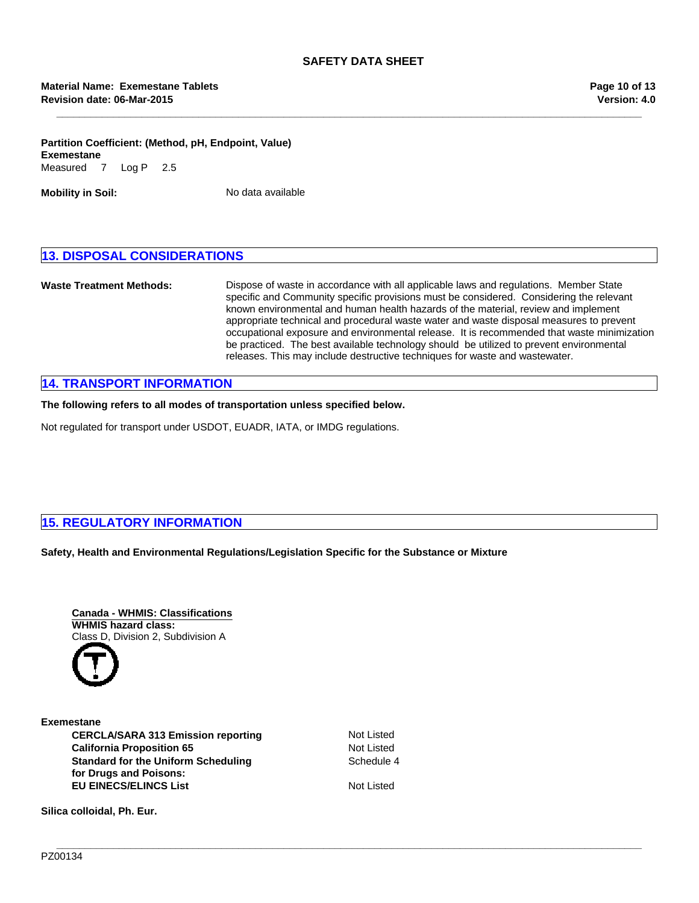**\_\_\_\_\_\_\_\_\_\_\_\_\_\_\_\_\_\_\_\_\_\_\_\_\_\_\_\_\_\_\_\_\_\_\_\_\_\_\_\_\_\_\_\_\_\_\_\_\_\_\_\_\_\_\_\_\_\_\_\_\_\_\_\_\_\_\_\_\_\_\_\_\_\_\_\_\_\_\_\_\_\_\_\_\_\_\_\_\_\_\_\_\_\_\_\_\_\_\_\_\_\_\_**

## **Partition Coefficient: (Method, pH, Endpoint, Value)** Measured7Log P2.5 **Exemestane**

**Mobility in Soil:** No data available

## **13. DISPOSAL CONSIDERATIONS**

**Waste Treatment Methods:** Dispose of waste in accordance with all applicable laws and regulations. Member State specific and Community specific provisions must be considered. Considering the relevant known environmental and human health hazards of the material, review and implement appropriate technical and procedural waste water and waste disposal measures to prevent occupational exposure and environmental release. It is recommended that waste minimization be practiced. The best available technology should be utilized to prevent environmental releases. This may include destructive techniques for waste and wastewater.

## **14. TRANSPORT INFORMATION**

**The following refers to all modes of transportation unless specified below.**

Not regulated for transport under USDOT, EUADR, IATA, or IMDG regulations.

## **15. REGULATORY INFORMATION**

**Safety, Health and Environmental Regulations/Legislation Specific for the Substance or Mixture**



**California Proposition 65** Not Listed **Standard for the Uniform Scheduling for Drugs and Poisons: EU EINECS/ELINCS List** Not Listed **Exemestane CERCLA/SARA 313 Emission reporting**

Not Listed Schedule 4

**Silica colloidal, Ph. Eur.**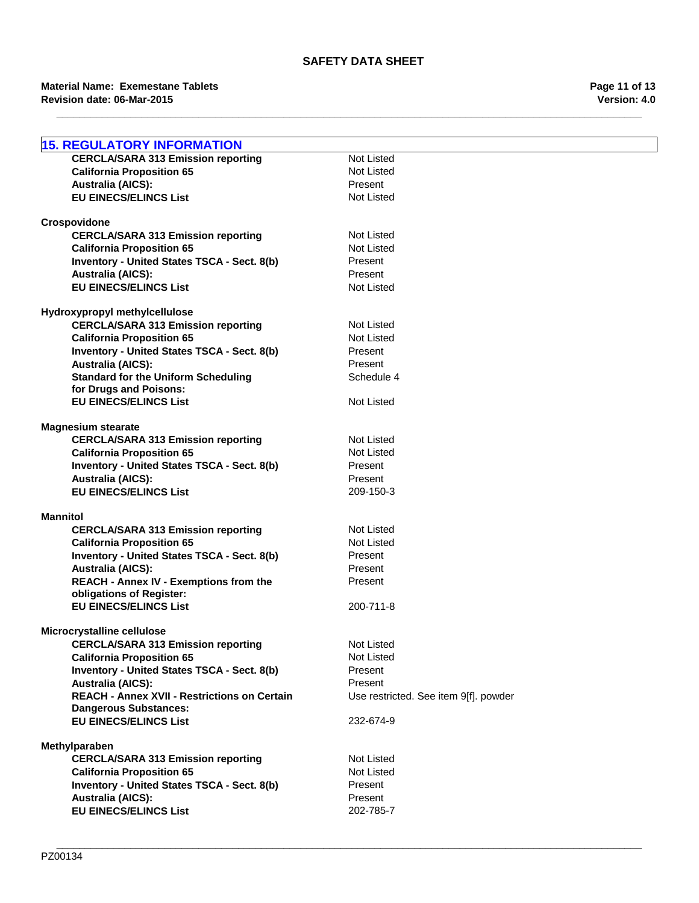## **Revision date: 06-Mar-2015 Material Name: Exemestane Tablets**

| <b>15. REGULATORY INFORMATION</b>                                             |                                       |
|-------------------------------------------------------------------------------|---------------------------------------|
| <b>CERCLA/SARA 313 Emission reporting</b>                                     | <b>Not Listed</b>                     |
| <b>California Proposition 65</b>                                              | <b>Not Listed</b>                     |
| <b>Australia (AICS):</b>                                                      | Present                               |
| <b>EU EINECS/ELINCS List</b>                                                  | <b>Not Listed</b>                     |
|                                                                               |                                       |
| Crospovidone                                                                  |                                       |
| <b>CERCLA/SARA 313 Emission reporting</b>                                     | Not Listed                            |
| <b>California Proposition 65</b>                                              | Not Listed                            |
| Inventory - United States TSCA - Sect. 8(b)                                   | Present                               |
| <b>Australia (AICS):</b>                                                      | Present                               |
| <b>EU EINECS/ELINCS List</b>                                                  | <b>Not Listed</b>                     |
|                                                                               |                                       |
| Hydroxypropyl methylcellulose<br><b>CERCLA/SARA 313 Emission reporting</b>    | Not Listed                            |
| <b>California Proposition 65</b>                                              | <b>Not Listed</b>                     |
| Inventory - United States TSCA - Sect. 8(b)                                   | Present                               |
| <b>Australia (AICS):</b>                                                      | Present                               |
| <b>Standard for the Uniform Scheduling</b>                                    | Schedule 4                            |
| for Drugs and Poisons:                                                        |                                       |
| <b>EU EINECS/ELINCS List</b>                                                  | <b>Not Listed</b>                     |
|                                                                               |                                       |
| <b>Magnesium stearate</b>                                                     |                                       |
| <b>CERCLA/SARA 313 Emission reporting</b>                                     | Not Listed                            |
| <b>California Proposition 65</b>                                              | <b>Not Listed</b>                     |
| Inventory - United States TSCA - Sect. 8(b)                                   | Present                               |
| <b>Australia (AICS):</b>                                                      | Present                               |
| <b>EU EINECS/ELINCS List</b>                                                  | 209-150-3                             |
|                                                                               |                                       |
| <b>Mannitol</b>                                                               | Not Listed                            |
| <b>CERCLA/SARA 313 Emission reporting</b><br><b>California Proposition 65</b> | <b>Not Listed</b>                     |
| Inventory - United States TSCA - Sect. 8(b)                                   | Present                               |
| <b>Australia (AICS):</b>                                                      | Present                               |
| REACH - Annex IV - Exemptions from the                                        | Present                               |
| obligations of Register:                                                      |                                       |
| <b>EU EINECS/ELINCS List</b>                                                  | 200-711-8                             |
|                                                                               |                                       |
| Microcrystalline cellulose                                                    |                                       |
| <b>CERCLA/SARA 313 Emission reporting</b>                                     | Not Listed                            |
| <b>California Proposition 65</b>                                              | Not Listed                            |
| Inventory - United States TSCA - Sect. 8(b)                                   | Present                               |
| <b>Australia (AICS):</b>                                                      | Present                               |
| <b>REACH - Annex XVII - Restrictions on Certain</b>                           | Use restricted. See item 9[f]. powder |
| <b>Dangerous Substances:</b><br><b>EU EINECS/ELINCS List</b>                  | 232-674-9                             |
|                                                                               |                                       |
| Methylparaben                                                                 |                                       |
| <b>CERCLA/SARA 313 Emission reporting</b>                                     | <b>Not Listed</b>                     |
| <b>California Proposition 65</b>                                              | Not Listed                            |
| <b>Inventory - United States TSCA - Sect. 8(b)</b>                            | Present                               |
| <b>Australia (AICS):</b>                                                      | Present                               |
| <b>EU EINECS/ELINCS List</b>                                                  | 202-785-7                             |
|                                                                               |                                       |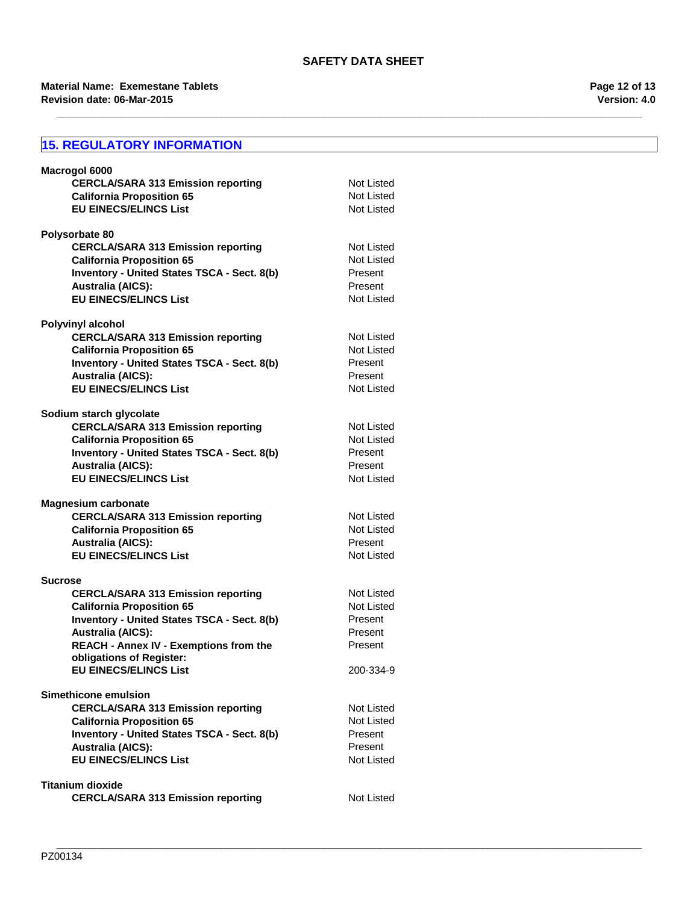**\_\_\_\_\_\_\_\_\_\_\_\_\_\_\_\_\_\_\_\_\_\_\_\_\_\_\_\_\_\_\_\_\_\_\_\_\_\_\_\_\_\_\_\_\_\_\_\_\_\_\_\_\_\_\_\_\_\_\_\_\_\_\_\_\_\_\_\_\_\_\_\_\_\_\_\_\_\_\_\_\_\_\_\_\_\_\_\_\_\_\_\_\_\_\_\_\_\_\_\_\_\_\_**

## **Revision date: 06-Mar-2015 Material Name: Exemestane Tablets**

## **15. REGULATORY INFORMATION**

| Macrogol 6000                                                           |                   |
|-------------------------------------------------------------------------|-------------------|
| <b>CERCLA/SARA 313 Emission reporting</b>                               | Not Listed        |
| <b>California Proposition 65</b>                                        | Not Listed        |
| <b>EU EINECS/ELINCS List</b>                                            | Not Listed        |
|                                                                         |                   |
| Polysorbate 80                                                          |                   |
| <b>CERCLA/SARA 313 Emission reporting</b>                               | Not Listed        |
| <b>California Proposition 65</b>                                        | Not Listed        |
| Inventory - United States TSCA - Sect. 8(b)                             | Present           |
| <b>Australia (AICS):</b>                                                | Present           |
| <b>EU EINECS/ELINCS List</b>                                            | Not Listed        |
| <b>Polyvinyl alcohol</b>                                                |                   |
| <b>CERCLA/SARA 313 Emission reporting</b>                               | Not Listed        |
| <b>California Proposition 65</b>                                        | Not Listed        |
| Inventory - United States TSCA - Sect. 8(b)                             | Present           |
| <b>Australia (AICS):</b>                                                | Present           |
| <b>EU EINECS/ELINCS List</b>                                            | Not Listed        |
|                                                                         |                   |
| Sodium starch glycolate                                                 |                   |
| <b>CERCLA/SARA 313 Emission reporting</b>                               | Not Listed        |
| <b>California Proposition 65</b>                                        | Not Listed        |
| Inventory - United States TSCA - Sect. 8(b)                             | Present           |
| <b>Australia (AICS):</b>                                                | Present           |
| <b>EU EINECS/ELINCS List</b>                                            | Not Listed        |
|                                                                         |                   |
| <b>Magnesium carbonate</b><br><b>CERCLA/SARA 313 Emission reporting</b> | Not Listed        |
| <b>California Proposition 65</b>                                        | Not Listed        |
| <b>Australia (AICS):</b>                                                | Present           |
| <b>EU EINECS/ELINCS List</b>                                            | Not Listed        |
|                                                                         |                   |
| <b>Sucrose</b>                                                          |                   |
| <b>CERCLA/SARA 313 Emission reporting</b>                               | Not Listed        |
| <b>California Proposition 65</b>                                        | <b>Not Listed</b> |
| Inventory - United States TSCA - Sect. 8(b)                             | Present           |
| <b>Australia (AICS):</b>                                                | Present           |
| <b>REACH - Annex IV - Exemptions from the</b>                           | Present           |
| obligations of Register:                                                |                   |
| <b>EU EINECS/ELINCS List</b>                                            | 200-334-9         |
| Simethicone emulsion                                                    |                   |
| <b>CERCLA/SARA 313 Emission reporting</b>                               | Not Listed        |
| <b>California Proposition 65</b>                                        | Not Listed        |
| Inventory - United States TSCA - Sect. 8(b)                             | Present           |
| <b>Australia (AICS):</b>                                                | Present           |
| <b>EU EINECS/ELINCS List</b>                                            | Not Listed        |
|                                                                         |                   |
| <b>Titanium dioxide</b>                                                 |                   |
| <b>CERCLA/SARA 313 Emission reporting</b>                               | Not Listed        |